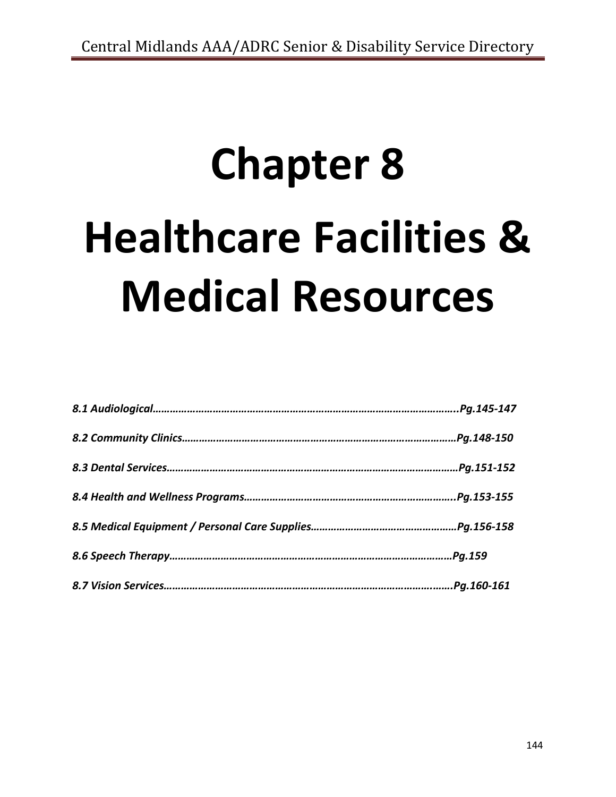# **Chapter 8 Healthcare Facilities & Medical Resources**

| Pg.145-147. |
|-------------|
| Pg.148-150. |
| Pg.151-152. |
|             |
|             |
| Pg.159      |
|             |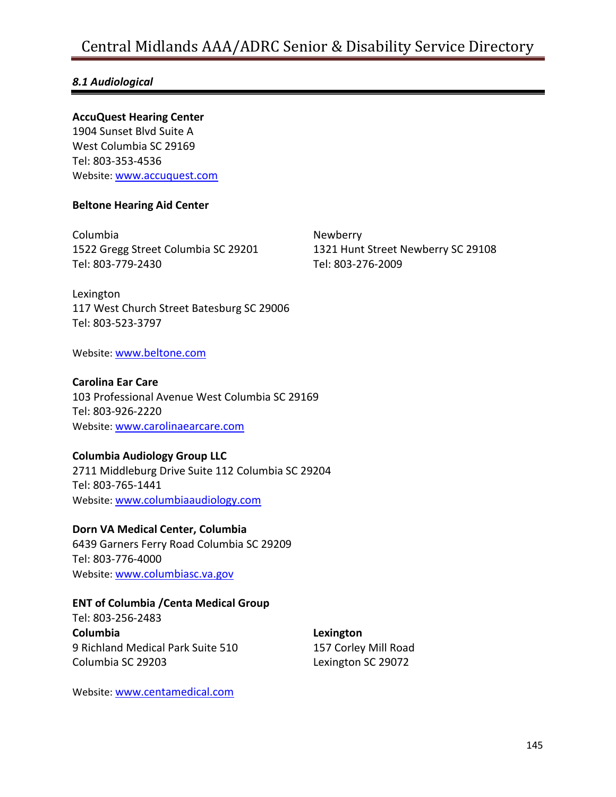### *8.1 Audiological*

### **AccuQuest Hearing Center**

1904 Sunset Blvd Suite A West Columbia SC 29169 Tel: 803-353-4536 Website: [www.accuquest.com](http://www.accuquest.com/)

### **Beltone Hearing Aid Center**

Columbia 1522 Gregg Street Columbia SC 29201 Tel: 803-779-2430

Newberry 1321 Hunt Street Newberry SC 29108 Tel: 803-276-2009

Lexington 117 West Church Street Batesburg SC 29006 Tel: 803-523-3797

Website: [www.beltone.com](http://www.beltone.com/)

### **Carolina Ear Care**

103 Professional Avenue West Columbia SC 29169 Tel: 803-926-2220 Website: [www.carolinaearcare.com](http://www.carolinaearcare.com/)

### **Columbia Audiology Group LLC**

2711 Middleburg Drive Suite 112 Columbia SC 29204 Tel: 803-765-1441 Website: [www.columbiaaudiology.com](http://www.columbiaaudiology.com/)

**Dorn VA Medical Center, Columbia** 6439 Garners Ferry Road Columbia SC 29209 Tel: 803-776-4000 Website: [www.columbiasc.va.gov](http://www.columbiasc.va.gov/)

### **ENT of Columbia /Centa Medical Group**

Tel: 803-256-2483 **Columbia** 9 Richland Medical Park Suite 510 Columbia SC 29203

**Lexington** 157 Corley Mill Road Lexington SC 29072

Website: [www.centamedical.com](http://www.centamedical.com/)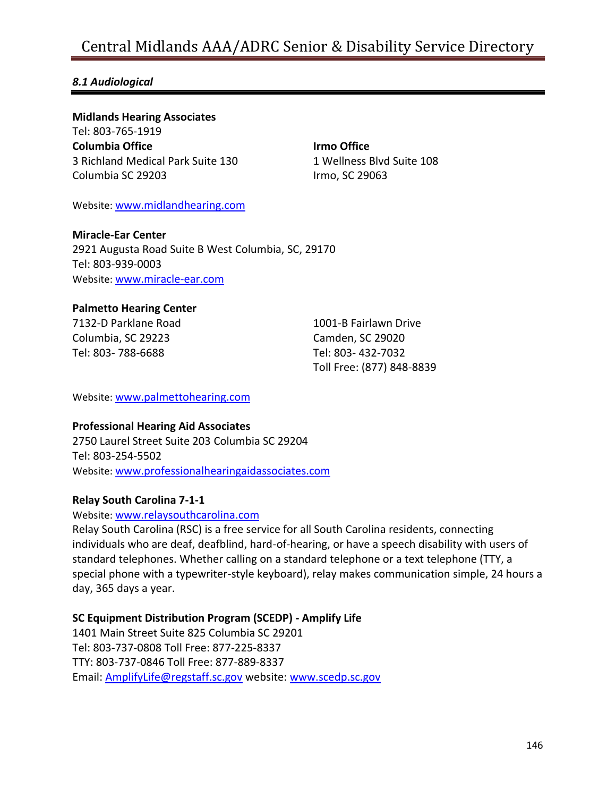### *8.1 Audiological*

**Midlands Hearing Associates** Tel: 803-765-1919 **Columbia Office** 3 Richland Medical Park Suite 130 Columbia SC 29203

**Irmo Office** 1 Wellness Blvd Suite 108 Irmo, SC 29063

Website: [www.midlandhearing.com](http://www.midlandhearing.com/)

**Miracle-Ear Center** 2921 Augusta Road Suite B West Columbia, SC, 29170 Tel: 803-939-0003 Website: [www.miracle-ear.com](http://www.miracle-ear.com/)

#### **Palmetto Hearing Center**

7132-D Parklane Road Columbia, SC 29223 Tel: 803- 788-6688

1001-B Fairlawn Drive Camden, SC 29020 Tel: 803- 432-7032 Toll Free: (877) 848-8839

Website: [www.palmettohearing.com](http://www.palmettohearing.com/)

### **Professional Hearing Aid Associates**

2750 Laurel Street Suite 203 Columbia SC 29204 Tel: 803-254-5502 Website: [www.professionalhearingaidassociates.com](http://www.professionalhearingaidassociates.com/)

#### **Relay South Carolina 7-1-1**

Website: [www.relaysouthcarolina.com](http://www.relaysouthcarolina.com/)

Relay South Carolina (RSC) is a free service for all South Carolina residents, connecting individuals who are deaf, deafblind, hard-of-hearing, or have a speech disability with users of standard telephones. Whether calling on a standard telephone or a text telephone (TTY, a special phone with a typewriter-style keyboard), relay makes communication simple, 24 hours a day, 365 days a year.

### **SC Equipment Distribution Program (SCEDP) - Amplify Life**

1401 Main Street Suite 825 Columbia SC 29201 Tel: 803-737-0808 Toll Free: 877-225-8337 TTY: 803-737-0846 Toll Free: 877-889-8337 Email: [AmplifyLife@regstaff.sc.gov](mailto:AmplifyLife@regstaff.sc.gov) website: [www.scedp.sc.gov](http://www.scedp.sc.gov/)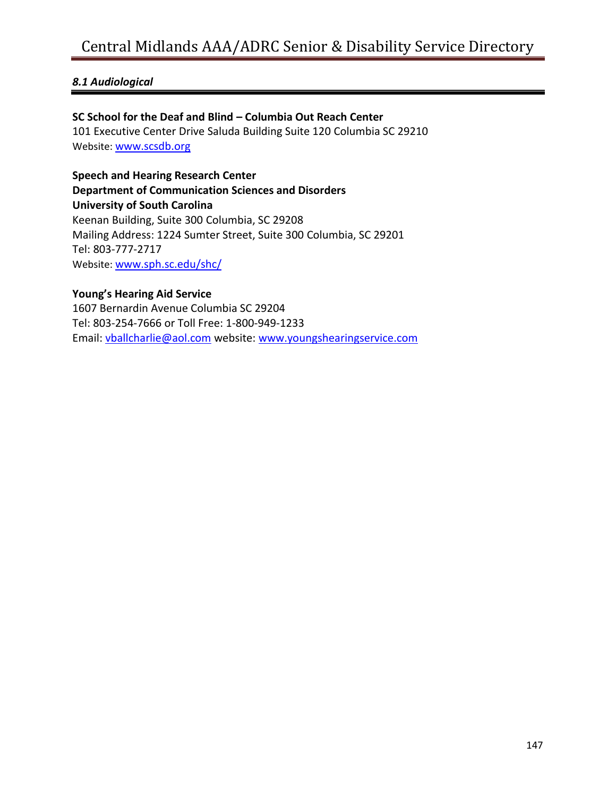### *8.1 Audiological*

### **SC School for the Deaf and Blind – Columbia Out Reach Center**

101 Executive Center Drive Saluda Building Suite 120 Columbia SC 29210 Website: [www.scsdb.org](http://www.scsdb.org/)

**Speech and Hearing Research Center Department of Communication Sciences and Disorders University of South Carolina** Keenan Building, Suite 300 Columbia, SC 29208 Mailing Address: 1224 Sumter Street, Suite 300 Columbia, SC 29201 Tel: 803-777-2717 Website: [www.sph.sc.edu/shc/](http://www.sph.sc.edu/shc/)

### **Young's Hearing Aid Service**

1607 Bernardin Avenue Columbia SC 29204 Tel: 803-254-7666 or Toll Free: 1-800-949-1233 Email: [vballcharlie@aol.com](mailto:vballcharlie@aol.com) website: [www.youngshearingservice.com](http://www.youngshearingservice.com/)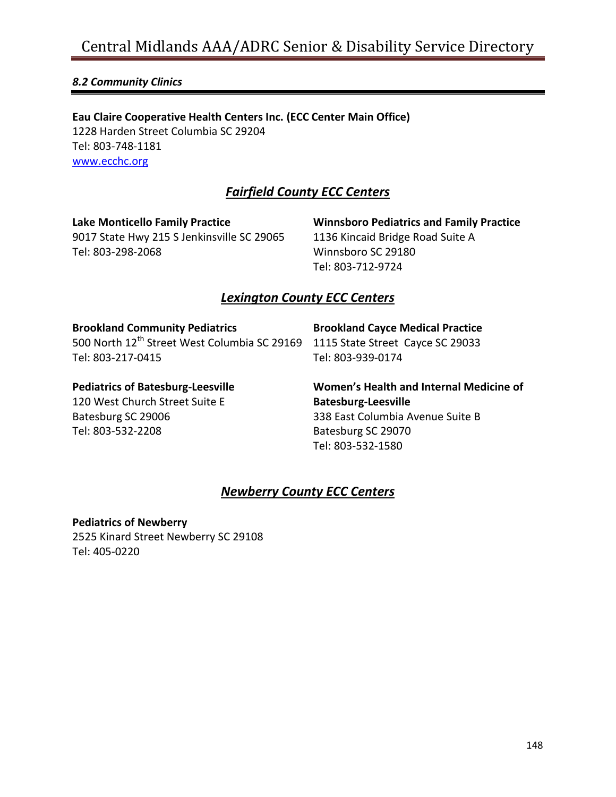### *8.2 Community Clinics*

**Eau Claire Cooperative Health Centers Inc. (ECC Center Main Office)** 1228 Harden Street Columbia SC 29204 Tel: 803-748-1181 [www.ecchc.org](http://www.ecchc.org/)

### *Fairfield County ECC Centers*

**Lake Monticello Family Practice** 9017 State Hwy 215 S Jenkinsville SC 29065 Tel: 803-298-2068

**Winnsboro Pediatrics and Family Practice** 1136 Kincaid Bridge Road Suite A Winnsboro SC 29180 Tel: 803-712-9724

### *Lexington County ECC Centers*

**Brookland Community Pediatrics**

500 North 12th Street West Columbia SC 29169 1115 State Street Cayce SC 29033 Tel: 803-217-0415

**Brookland Cayce Medical Practice** Tel: 803-939-0174

**Pediatrics of Batesburg-Leesville**

120 West Church Street Suite E Batesburg SC 29006 Tel: 803-532-2208

**Women's Health and Internal Medicine of Batesburg-Leesville** 338 East Columbia Avenue Suite B Batesburg SC 29070 Tel: 803-532-1580

### *Newberry County ECC Centers*

**Pediatrics of Newberry** 2525 Kinard Street Newberry SC 29108 Tel: 405-0220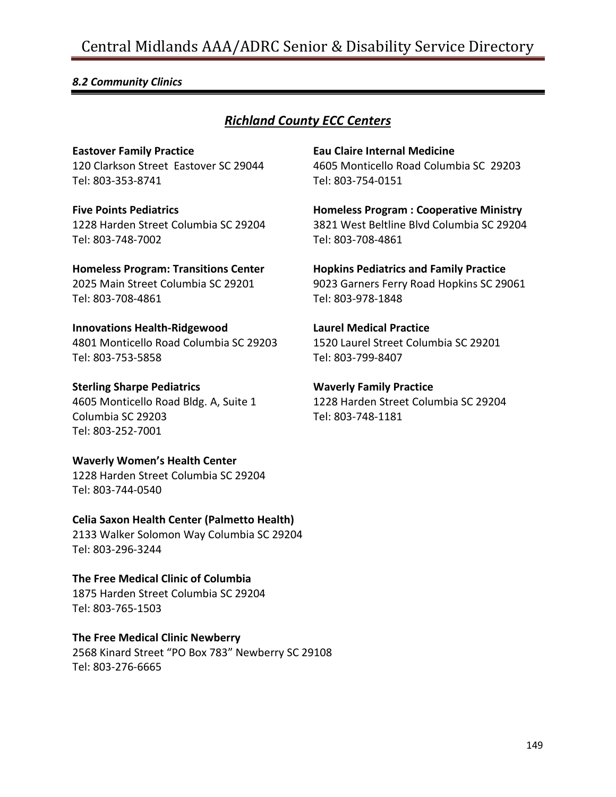### *8.2 Community Clinics*

### *Richland County ECC Centers*

**Eastover Family Practice** 120 Clarkson Street Eastover SC 29044 Tel: 803-353-8741

**Five Points Pediatrics**

1228 Harden Street Columbia SC 29204 Tel: 803-748-7002

**Homeless Program: Transitions Center** 2025 Main Street Columbia SC 29201

Tel: 803-708-4861

**Innovations Health-Ridgewood** 4801 Monticello Road Columbia SC 29203 Tel: 803-753-5858

**Sterling Sharpe Pediatrics** 4605 Monticello Road Bldg. A, Suite 1 Columbia SC 29203 Tel: 803-252-7001

**Waverly Women's Health Center** 1228 Harden Street Columbia SC 29204 Tel: 803-744-0540

**Celia Saxon Health Center (Palmetto Health)** 2133 Walker Solomon Way Columbia SC 29204 Tel: 803-296-3244

**The Free Medical Clinic of Columbia**  1875 Harden Street Columbia SC 29204 Tel: 803-765-1503

**The Free Medical Clinic Newberry** 2568 Kinard Street "PO Box 783" Newberry SC 29108 Tel: 803-276-6665

**Eau Claire Internal Medicine** 4605 Monticello Road Columbia SC 29203 Tel: 803-754-0151

**Homeless Program : Cooperative Ministry** 3821 West Beltline Blvd Columbia SC 29204 Tel: 803-708-4861

**Hopkins Pediatrics and Family Practice** 9023 Garners Ferry Road Hopkins SC 29061 Tel: 803-978-1848

**Laurel Medical Practice** 1520 Laurel Street Columbia SC 29201 Tel: 803-799-8407

**Waverly Family Practice** 1228 Harden Street Columbia SC 29204 Tel: 803-748-1181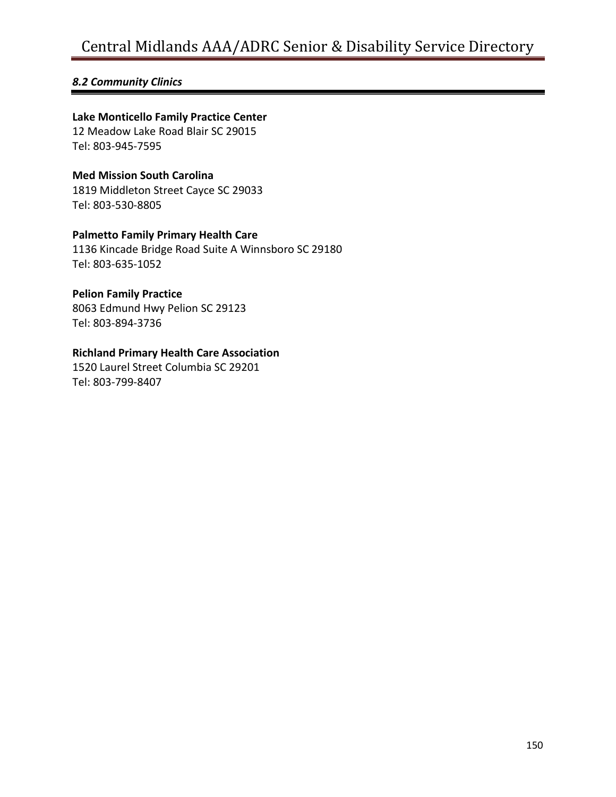### *8.2 Community Clinics*

### **Lake Monticello Family Practice Center**

12 Meadow Lake Road Blair SC 29015 Tel: 803-945-7595

### **Med Mission South Carolina**  1819 Middleton Street Cayce SC 29033

Tel: 803-530-8805

### **Palmetto Family Primary Health Care**

1136 Kincade Bridge Road Suite A Winnsboro SC 29180 Tel: 803-635-1052

### **Pelion Family Practice**

8063 Edmund Hwy Pelion SC 29123 Tel: 803-894-3736

### **Richland Primary Health Care Association**

1520 Laurel Street Columbia SC 29201 Tel: 803-799-8407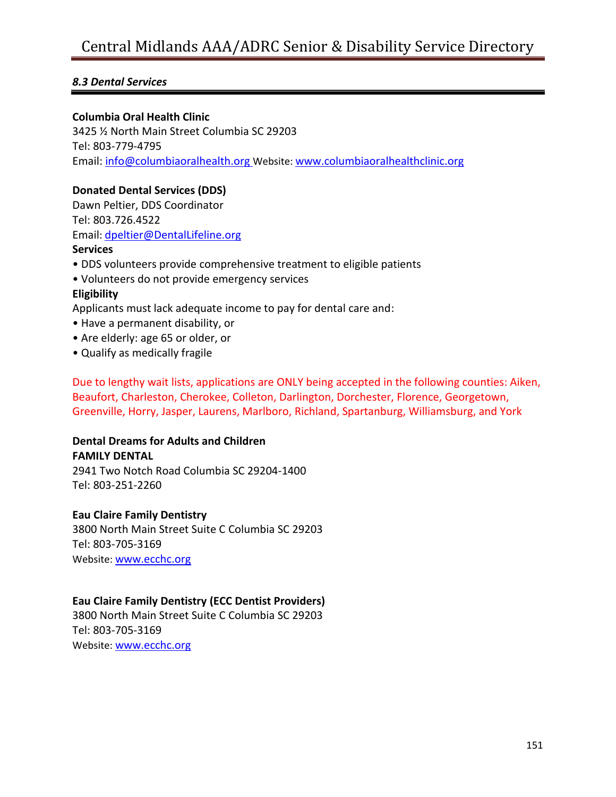### *8.3 Dental Services*

### **Columbia Oral Health Clinic**

3425 ½ North Main Street Columbia SC 29203 Tel: 803-779-4795 Email: [info@columbiaoralhealth.org](mailto:info@columbiaoralhealth.org) Website: [www.columbiaoralhealthclinic.org](http://www.columbiaoralhealthclinic.org/)

### **Donated Dental Services (DDS)**

Dawn Peltier, DDS Coordinator Tel: 803.726.4522 Email: [dpeltier@DentalLifeline.org](mailto:dpeltier@DentalLifeline.org)

### **Services**

- DDS volunteers provide comprehensive treatment to eligible patients
- Volunteers do not provide emergency services

### **Eligibility**

Applicants must lack adequate income to pay for dental care and:

- Have a permanent disability, or
- Are elderly: age 65 or older, or
- Qualify as medically fragile

Due to lengthy wait lists, applications are ONLY being accepted in the following counties: Aiken, Beaufort, Charleston, Cherokee, Colleton, Darlington, Dorchester, Florence, Georgetown, Greenville, Horry, Jasper, Laurens, Marlboro, Richland, Spartanburg, Williamsburg, and York

#### **Dental Dreams for Adults and Children FAMILY DENTAL**

2941 Two Notch Road Columbia SC 29204-1400 Tel: 803-251-2260

### **Eau Claire Family Dentistry**

3800 North Main Street Suite C Columbia SC 29203 Tel: 803-705-3169 Website: [www.ecchc.org](http://www.ecchc.org/)

### **Eau Claire Family Dentistry (ECC Dentist Providers)**

3800 North Main Street Suite C Columbia SC 29203 Tel: 803-705-3169 Website: [www.ecchc.org](http://www.ecchc.org/)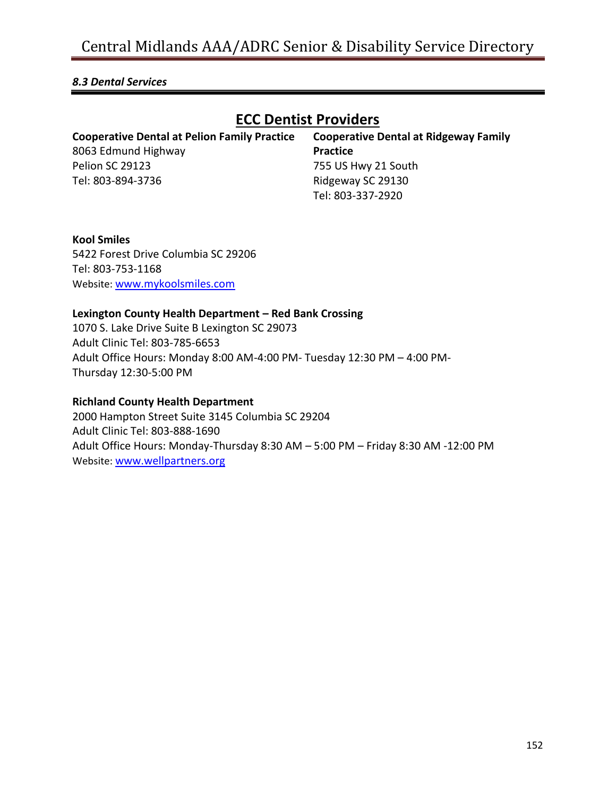### *8.3 Dental Services*

### **ECC Dentist Providers**

| <b>Cooperative Dental at Pelion Family Practice</b> | <b>Cooperative Dental at Ridgeway Family</b> |
|-----------------------------------------------------|----------------------------------------------|
| 8063 Edmund Highway                                 | <b>Practice</b>                              |
| <b>Pelion SC 29123</b>                              | 755 US Hwy 21 South                          |
| Tel: 803-894-3736                                   | Ridgeway SC 29130                            |
|                                                     | Tel: 803-337-2920                            |

### **Kool Smiles** 5422 Forest Drive Columbia SC 29206 Tel: 803-753-1168 Website: [www.mykoolsmiles.com](http://www.mykoolsmiles.com/)

### **Lexington County Health Department – Red Bank Crossing**

1070 S. Lake Drive Suite B Lexington SC 29073 Adult Clinic Tel: 803-785-6653 Adult Office Hours: Monday 8:00 AM-4:00 PM- Tuesday 12:30 PM – 4:00 PM-Thursday 12:30-5:00 PM

### **Richland County Health Department**

2000 Hampton Street Suite 3145 Columbia SC 29204 Adult Clinic Tel: 803-888-1690 Adult Office Hours: Monday-Thursday 8:30 AM – 5:00 PM – Friday 8:30 AM -12:00 PM Website: [www.wellpartners.org](http://www.wellpartners.org/)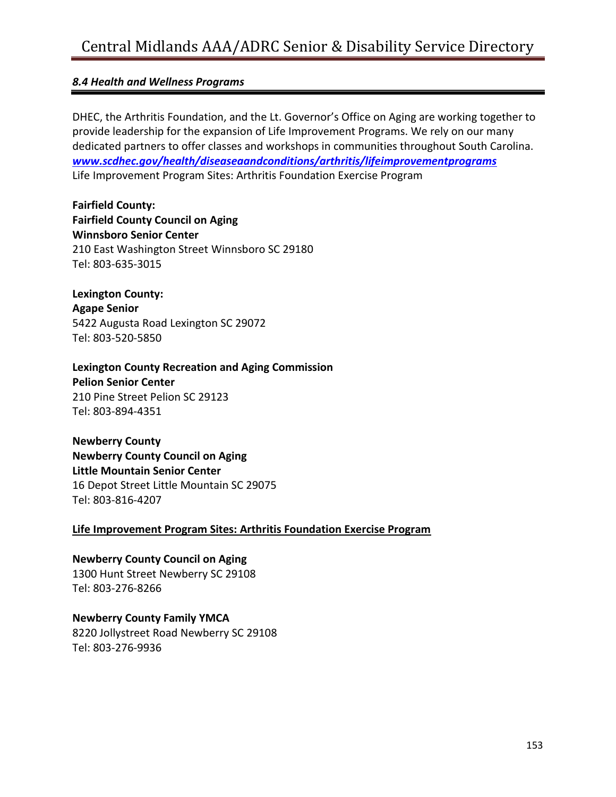### *8.4 Health and Wellness Programs*

DHEC, the Arthritis Foundation, and the Lt. Governor's Office on Aging are working together to provide leadership for the expansion of Life Improvement Programs. We rely on our many dedicated partners to offer classes and workshops in communities throughout South Carolina. *[www.scdhec.gov/health/diseaseaandconditions/arthritis/lifeimprovementprograms](http://www.scdhec.gov/health/diseaseaandconditions/arthritis/lifeimprovementprograms)* Life Improvement Program Sites: Arthritis Foundation Exercise Program

**Fairfield County: Fairfield County Council on Aging Winnsboro Senior Center** 210 East Washington Street Winnsboro SC 29180 Tel: 803-635-3015

**Lexington County: Agape Senior** 5422 Augusta Road Lexington SC 29072 Tel: 803-520-5850

**Lexington County Recreation and Aging Commission Pelion Senior Center** 210 Pine Street Pelion SC 29123 Tel: 803-894-4351

**Newberry County Newberry County Council on Aging Little Mountain Senior Center** 16 Depot Street Little Mountain SC 29075 Tel: 803-816-4207

### **Life Improvement Program Sites: Arthritis Foundation Exercise Program**

**Newberry County Council on Aging** 1300 Hunt Street Newberry SC 29108 Tel: 803-276-8266

**Newberry County Family YMCA** 8220 Jollystreet Road Newberry SC 29108 Tel: 803-276-9936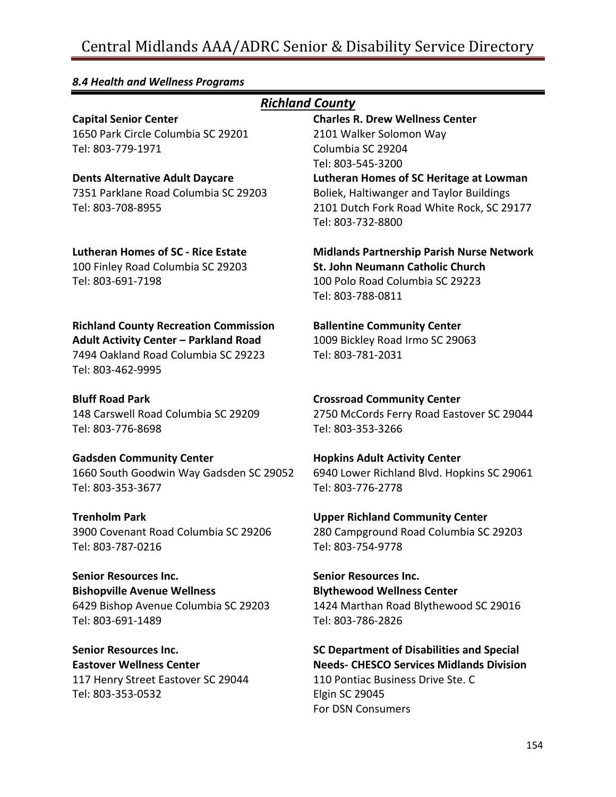#### *8.4 Health and Wellness Programs Richland County* **Capital Senior Center** 1650 Park Circle Columbia SC 29201 Tel: 803-779-1971 **Charles R. Drew Wellness Center** 2101 Walker Solomon Way Columbia SC 29204 Tel: 803-545-3200 **Dents Alternative Adult Daycare** 7351 Parklane Road Columbia SC 29203 Tel: 803-708-8955 **Lutheran Homes of SC Heritage at Lowman** Boliek, Haltiwanger and Taylor Buildings 2101 Dutch Fork Road White Rock, SC 29177 Tel: 803-732-8800 **Lutheran Homes of SC - Rice Estate** 100 Finley Road Columbia SC 29203 Tel: 803-691-7198 **Midlands Partnership Parish Nurse Network St. John Neumann Catholic Church** 100 Polo Road Columbia SC 29223 Tel: 803-788-0811 **Richland County Recreation Commission Adult Activity Center – Parkland Road** 7494 Oakland Road Columbia SC 29223 Tel: 803-462-9995 **Ballentine Community Center** 1009 Bickley Road Irmo SC 29063 Tel: 803-781-2031 **Bluff Road Park** 148 Carswell Road Columbia SC 29209 Tel: 803-776-8698 **Crossroad Community Center** 2750 McCords Ferry Road Eastover SC 29044 Tel: 803-353-3266 **Gadsden Community Center** 1660 South Goodwin Way Gadsden SC 29052 Tel: 803-353-3677 **Hopkins Adult Activity Center** 6940 Lower Richland Blvd. Hopkins SC 29061 Tel: 803-776-2778 **Trenholm Park** 3900 Covenant Road Columbia SC 29206 Tel: 803-787-0216 **Upper Richland Community Center** 280 Campground Road Columbia SC 29203 Tel: 803-754-9778 **Senior Resources Inc. Bishopville Avenue Wellness** 6429 Bishop Avenue Columbia SC 29203 Tel: 803-691-1489 **Senior Resources Inc. Blythewood Wellness Center** 1424 Marthan Road Blythewood SC 29016 Tel: 803-786-2826 **Senior Resources Inc. Eastover Wellness Center** 117 Henry Street Eastover SC 29044 **SC Department of Disabilities and Special Needs- CHESCO Services Midlands Division** 110 Pontiac Business Drive Ste. C

Elgin SC 29045 For DSN Consumers

Tel: 803-353-0532

154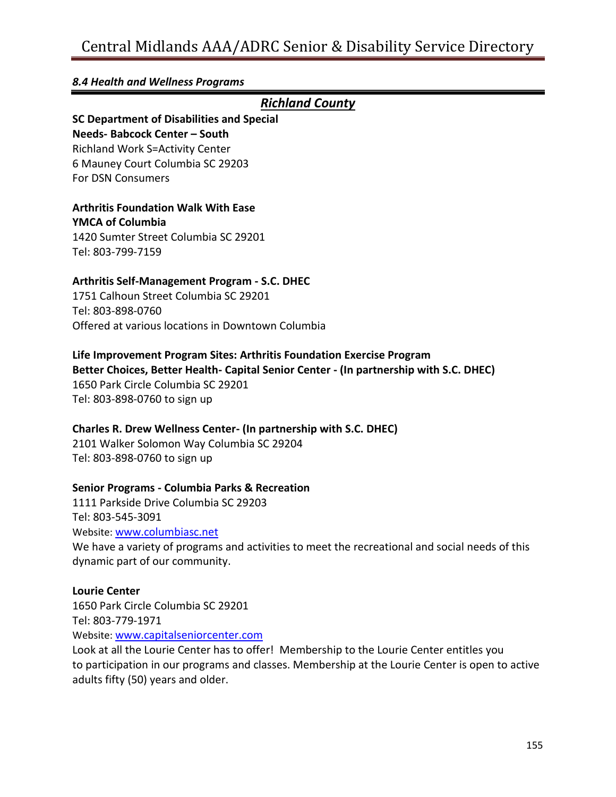### *8.4 Health and Wellness Programs*

### *Richland County*

# **SC Department of Disabilities and Special**

**Needs- Babcock Center – South** Richland Work S=Activity Center 6 Mauney Court Columbia SC 29203 For DSN Consumers

### **Arthritis Foundation Walk With Ease**

**YMCA of Columbia** 1420 Sumter Street Columbia SC 29201 Tel: 803-799-7159

### **Arthritis Self-Management Program - S.C. DHEC**

1751 Calhoun Street Columbia SC 29201 Tel: 803-898-0760 Offered at various locations in Downtown Columbia

### **Life Improvement Program Sites: Arthritis Foundation Exercise Program**

**Better Choices, Better Health- Capital Senior Center - (In partnership with S.C. DHEC)** 1650 Park Circle Columbia SC 29201 Tel: 803-898-0760 to sign up

### **Charles R. Drew Wellness Center- (In partnership with S.C. DHEC)**

2101 Walker Solomon Way Columbia SC 29204 Tel: 803-898-0760 to sign up

### **Senior Programs - Columbia Parks & Recreation**

1111 Parkside Drive Columbia SC 29203 Tel: 803-545-3091 Website: [www.columbiasc.net](http://www.columbiasc.net/)

We have a variety of programs and activities to meet the recreational and social needs of this dynamic part of our community.

### **Lourie Center**

1650 Park Circle Columbia SC 29201 Tel: 803-779-1971 Website: [www.capitalseniorcenter.com](http://www.capitalseniorcenter.com/)

Look at all the Lourie Center has to offer! Membership to the Lourie Center entitles you to participation in our programs and classes. Membership at the Lourie Center is open to active adults fifty (50) years and older.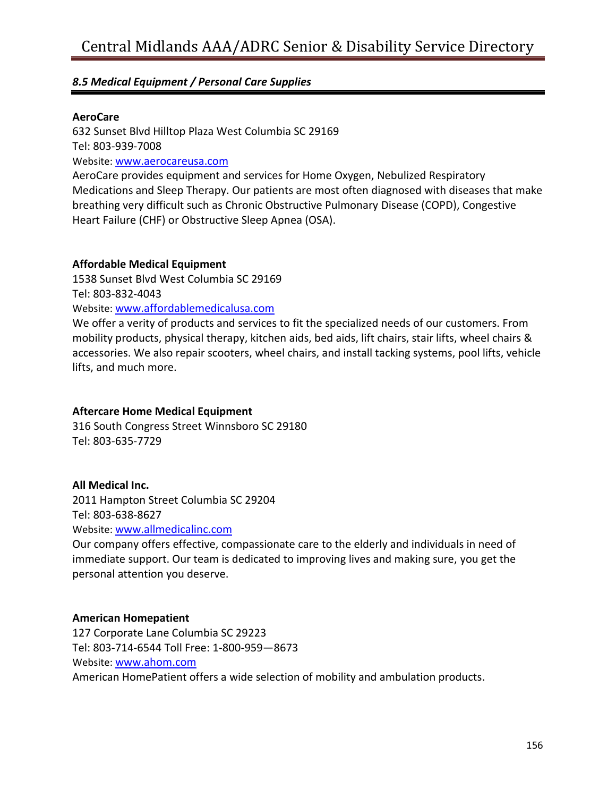### *8.5 Medical Equipment / Personal Care Supplies*

### **AeroCare**

632 Sunset Blvd Hilltop Plaza West Columbia SC 29169 Tel: 803-939-7008 Website: [www.aerocareusa.com](http://www.aerocareusa.com/)

AeroCare provides equipment and services for Home Oxygen, Nebulized Respiratory Medications and Sleep Therapy. Our patients are most often diagnosed with diseases that make breathing very difficult such as Chronic Obstructive Pulmonary Disease (COPD), Congestive Heart Failure (CHF) or Obstructive Sleep Apnea (OSA).

### **Affordable Medical Equipment**

1538 Sunset Blvd West Columbia SC 29169 Tel: 803-832-4043

Website: [www.affordablemedicalusa.com](http://www.affordablemedicalusa.com/)

We offer a verity of products and services to fit the specialized needs of our customers. From mobility products, physical therapy, kitchen aids, bed aids, lift chairs, stair lifts, wheel chairs & accessories. We also repair scooters, wheel chairs, and install tacking systems, pool lifts, vehicle lifts, and much more.

### **Aftercare Home Medical Equipment**

316 South Congress Street Winnsboro SC 29180 Tel: 803-635-7729

### **All Medical Inc.**

2011 Hampton Street Columbia SC 29204 Tel: 803-638-8627

Website: [www.allmedicalinc.com](http://www.allmedicalinc.com/)

Our company offers effective, compassionate care to the elderly and individuals in need of immediate support. Our team is dedicated to improving lives and making sure, you get the personal attention you deserve.

### **American Homepatient**

127 Corporate Lane Columbia SC 29223 Tel: 803-714-6544 Toll Free: 1-800-959—8673 Website: [www.ahom.com](http://www.ahom.com/) American HomePatient offers a wide selection of mobility and ambulation products.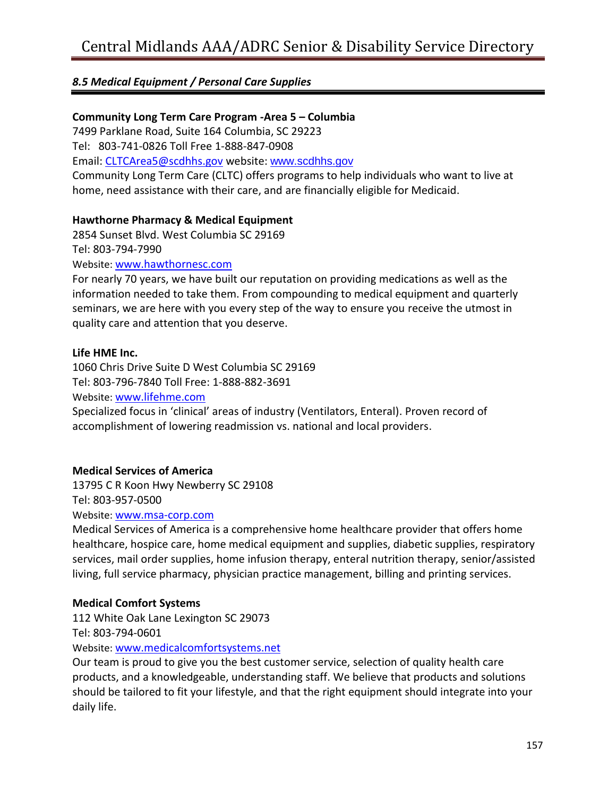### *8.5 Medical Equipment / Personal Care Supplies*

### **Community Long Term Care Program -Area 5 – Columbia**

7499 Parklane Road, Suite 164 Columbia, SC 29223

Tel: 803-741-0826 Toll Free 1-888-847-0908

Email: [CLTCArea5@scdhhs.gov](mailto:CLTCArea5@scdhhs.gov) website: [www.scdhhs.gov](http://www.scdhhs.gov/)

Community Long Term Care (CLTC) offers programs to help individuals who want to live at home, need assistance with their care, and are financially [eligible](https://www.scdhhs.gov/historic/index.html) for Medicaid.

### **Hawthorne Pharmacy & Medical Equipment**

2854 Sunset Blvd. West Columbia SC 29169 Tel: 803-794-7990

Website: [www.hawthornesc.com](http://www.hawthornesc.com/)

For nearly 70 years, we have built our reputation on providing medications as well as the information needed to take them. From compounding to medical equipment and quarterly seminars, we are here with you every step of the way to ensure you receive the utmost in quality care and attention that you deserve.

### **Life HME Inc.**

1060 Chris Drive Suite D West Columbia SC 29169 Tel: 803-796-7840 Toll Free: 1-888-882-3691 Website: [www.lifehme.com](http://www.lifehme.com/) Specialized focus in 'clinical' areas of industry (Ventilators, Enteral). Proven record of accomplishment of lowering readmission vs. national and local providers.

### **Medical Services of America**

13795 C R Koon Hwy Newberry SC 29108

Tel: 803-957-0500

Website: [www.msa-corp.com](http://www.msa-corp.com/)

Medical Services of America is a comprehensive home healthcare provider that offers home healthcare, hospice care, home medical equipment and supplies, diabetic supplies, respiratory services, mail order supplies, home infusion therapy, enteral nutrition therapy, senior/assisted living, full service pharmacy, physician practice management, billing and printing services.

### **Medical Comfort Systems**

112 White Oak Lane Lexington SC 29073 Tel: 803-794-0601

Website: [www.medicalcomfortsystems.net](http://www.medicalcomfortsystems.net/)

Our team is proud to give you the best customer service, selection of quality health care products, and a knowledgeable, understanding staff. We believe that products and solutions should be tailored to fit your lifestyle, and that the right equipment should integrate into your daily life.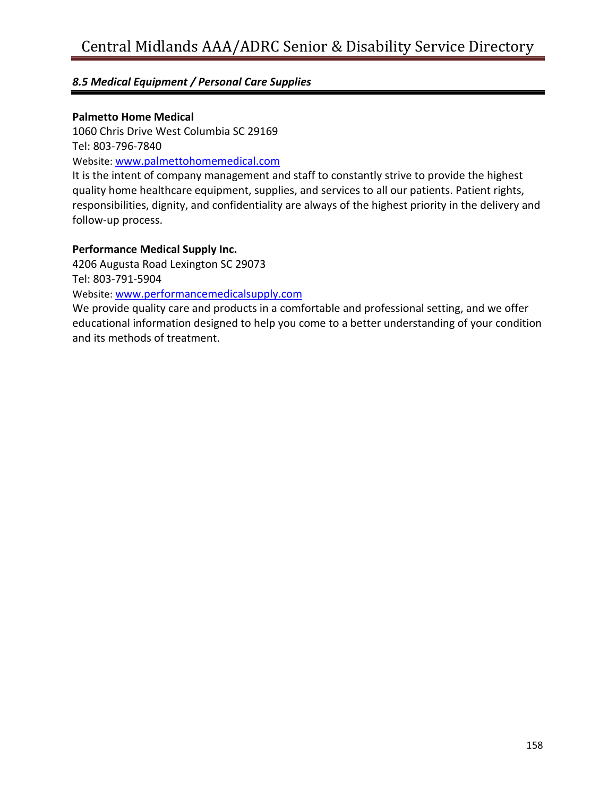### *8.5 Medical Equipment / Personal Care Supplies*

### **Palmetto Home Medical**

1060 Chris Drive West Columbia SC 29169 Tel: 803-796-7840

Website: [www.palmettohomemedical.com](http://www.palmettohomemedical.com/)

It is the intent of company management and staff to constantly strive to provide the highest quality home healthcare equipment, supplies, and services to all our patients. Patient rights, responsibilities, dignity, and confidentiality are always of the highest priority in the delivery and follow-up process.

### **Performance Medical Supply Inc.**

4206 Augusta Road Lexington SC 29073

Tel: 803-791-5904

Website: [www.performancemedicalsupply.com](http://www.performancemedicalsupply.com/)

We provide quality care and [products](http://www.performancemedicalsupply.com/shop.htm) in a comfortable and professional setting, and we offer educational information designed to help you come to a better understanding of your condition and its methods of treatment.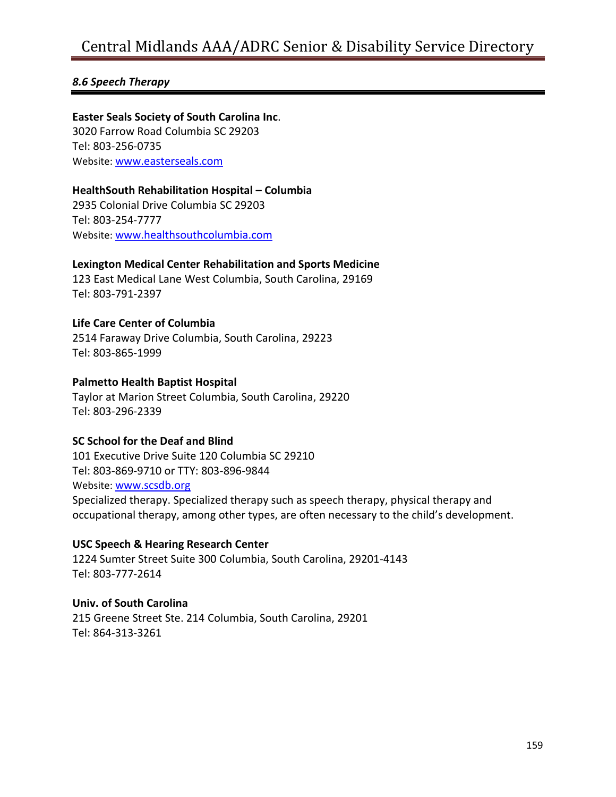### *8.6 Speech Therapy*

**Easter Seals Society of South Carolina Inc**. 3020 Farrow Road Columbia SC 29203 Tel: 803-256-0735 Website: [www.easterseals.com](http://www.easterseals.com/)

### **HealthSouth Rehabilitation Hospital – Columbia**

2935 Colonial Drive Columbia SC 29203 Tel: 803-254-7777 Website: [www.healthsouthcolumbia.com](http://www.healthsouthcolumbia.com/)

#### **Lexington Medical Center Rehabilitation and Sports Medicine**

123 East Medical Lane West Columbia, South Carolina, 29169 Tel: 803-791-2397

### **Life Care Center of Columbia**

2514 Faraway Drive Columbia, South Carolina, 29223 Tel: 803-865-1999

### **Palmetto Health Baptist Hospital**

Taylor at Marion Street Columbia, South Carolina, 29220 Tel: 803-296-2339

#### **SC School for the Deaf and Blind**

101 Executive Drive Suite 120 Columbia SC 29210 Tel: 803-869-9710 or TTY: 803-896-9844 Website: [www.scsdb.org](http://www.scsdb.org/) Specialized therapy. Specialized therapy such as speech therapy, physical therapy and occupational therapy, among other types, are often necessary to the child's development.

#### **USC Speech & Hearing Research Center**

1224 Sumter Street Suite 300 Columbia, South Carolina, 29201-4143 Tel: 803-777-2614

### **Univ. of South Carolina**

215 Greene Street Ste. 214 Columbia, South Carolina, 29201 Tel: 864-313-3261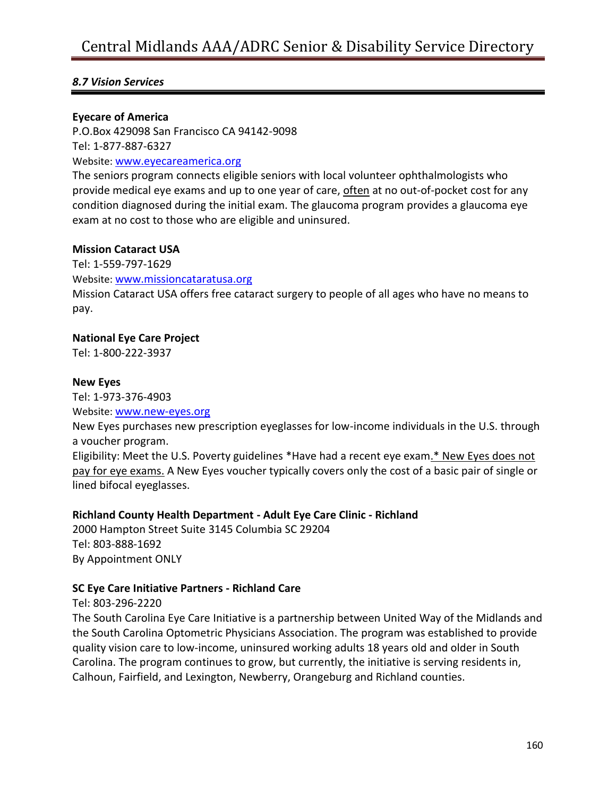### *8.7 Vision Services*

### **Eyecare of America**

P.O.Box 429098 San Francisco CA 94142-9098 Tel: 1-877-887-6327 Website: [www.eyecareamerica.org](http://www.eyecareamerica.org/)

The seniors program connects eligible seniors with local volunteer ophthalmologists who provide medical eye exams and up to one year of care, often at no out-of-pocket cost for any condition diagnosed during the initial exam. The glaucoma program provides a glaucoma eye exam at no cost to those who are eligible and uninsured.

### **Mission Cataract USA**

Tel: 1-559-797-1629

Website: [www.missioncataratusa.org](http://www.missioncataratusa.org/)

Mission Cataract USA offers free cataract surgery to people of all ages who have no means to pay.

### **National Eye Care Project**

Tel: 1-800-222-3937

### **New Eyes**

Tel: 1-973-376-4903 Website: [www.new-eyes.org](http://www.new-eyes.org/)

New Eyes purchases new prescription eyeglasses for low-income individuals in the U.S. through a voucher program.

Eligibility: Meet the U.S. Poverty guidelines \*Have had a recent eye exam.\* New Eyes does not pay for eye exams. A New Eyes voucher typically covers only the cost of a basic pair of single or lined bifocal eyeglasses.

### **Richland County Health Department - Adult Eye Care Clinic - Richland**

2000 Hampton Street Suite 3145 Columbia SC 29204 Tel: 803-888-1692 By Appointment ONLY

### **SC Eye Care Initiative Partners - Richland Care**

Tel: 803-296-2220

The South Carolina Eye Care Initiative is a partnership between United Way of the Midlands and the South Carolina Optometric Physicians Association. The program was established to provide quality vision care to low-income, uninsured working adults 18 years old and older in South Carolina. The program continues to grow, but currently, the initiative is serving residents in, Calhoun, Fairfield, and Lexington, Newberry, Orangeburg and Richland counties.